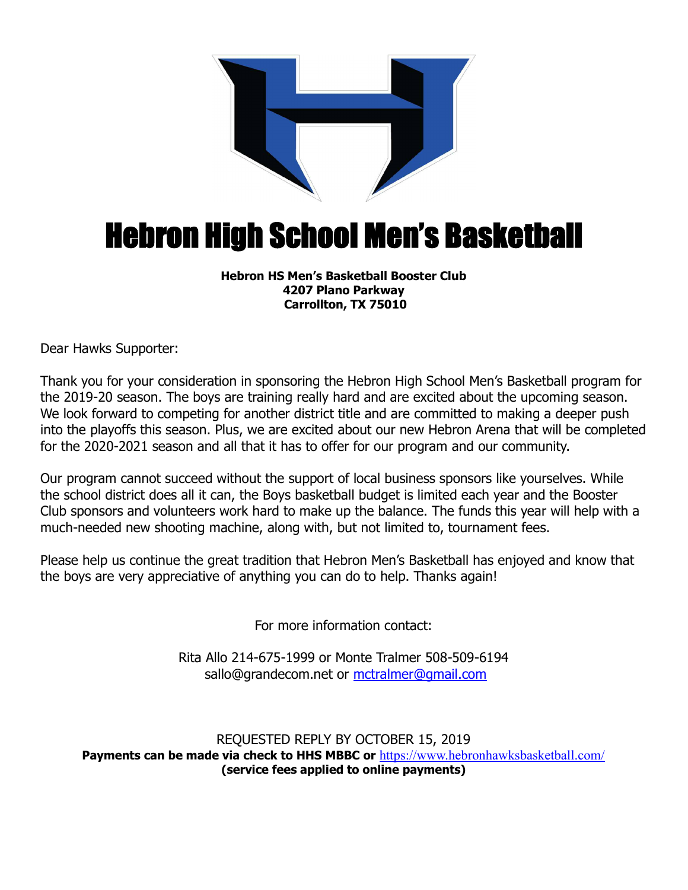

## Hebron High School Men's Basketball

## **Hebron HS Men's Basketball Booster Club 4207 Plano Parkway Carrollton, TX 75010**

Dear Hawks Supporter:

Thank you for your consideration in sponsoring the Hebron High School Men's Basketball program for the 2019-20 season. The boys are training really hard and are excited about the upcoming season. We look forward to competing for another district title and are committed to making a deeper push into the playoffs this season. Plus, we are excited about our new Hebron Arena that will be completed for the 2020-2021 season and all that it has to offer for our program and our community.

Our program cannot succeed without the support of local business sponsors like yourselves. While the school district does all it can, the Boys basketball budget is limited each year and the Booster Club sponsors and volunteers work hard to make up the balance. The funds this year will help with a much-needed new shooting machine, along with, but not limited to, tournament fees.

Please help us continue the great tradition that Hebron Men's Basketball has enjoyed and know that the boys are very appreciative of anything you can do to help. Thanks again!

For more information contact:

Rita Allo 214-675-1999 or Monte Tralmer 508-509-6194 sallo@grandecom.net or mctralmer@gmail.com

REQUESTED REPLY BY OCTOBER 15, 2019 **Payments can be made via check to HHS MBBC or** https://www.hebronhawksbasketball.com/ **(service fees applied to online payments)**